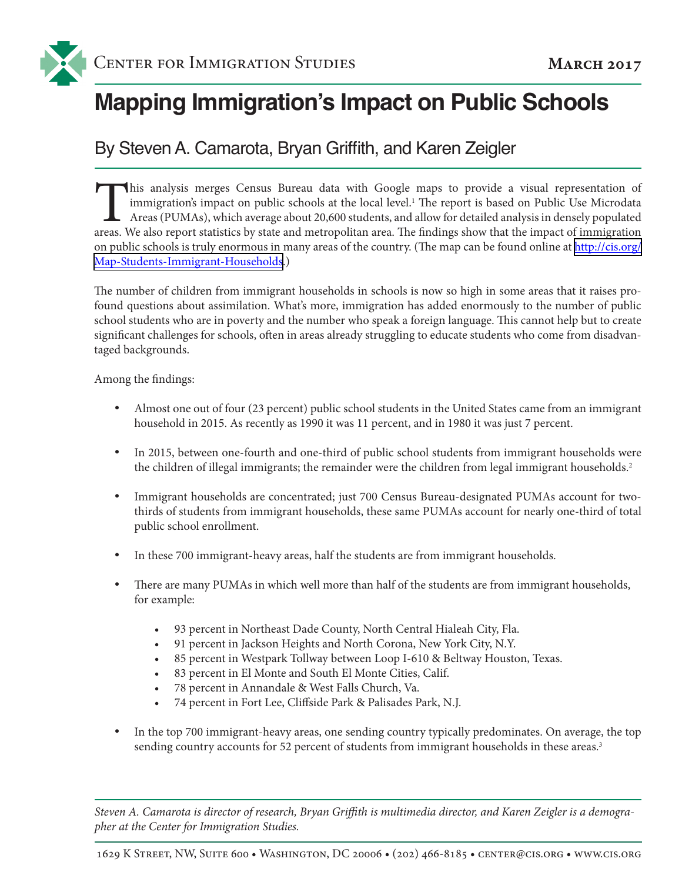

# **Mapping Immigration's Impact on Public Schools**

### By Steven A. Camarota, Bryan Griffith, and Karen Zeigler

This analysis merges Census Bureau data with Google maps to provide a visual representation of immigration's impact on public schools at the local level.<sup>1</sup> The report is based on Public Use Microdata Areas (PUMAs), which immigration's impact on public schools at the local level.<sup>1</sup> The report is based on Public Use Microdata Areas (PUMAs), which average about 20,600 students, and allow for detailed analysis in densely populated areas. We also report statistics by state and metropolitan area. The findings show that the impact of immigration on public schools is truly enormous in many areas of the country. (The map can be found online at [http://cis.org/](http://cis.org/Map-Students-Immigrant-Households) [Map-Students-Immigrant-Households](http://cis.org/Map-Students-Immigrant-Households).)

The number of children from immigrant households in schools is now so high in some areas that it raises profound questions about assimilation. What's more, immigration has added enormously to the number of public school students who are in poverty and the number who speak a foreign language. This cannot help but to create significant challenges for schools, often in areas already struggling to educate students who come from disadvantaged backgrounds.

Among the findings:

- Almost one out of four (23 percent) public school students in the United States came from an immigrant household in 2015. As recently as 1990 it was 11 percent, and in 1980 it was just 7 percent.
- In 2015, between one-fourth and one-third of public school students from immigrant households were the children of illegal immigrants; the remainder were the children from legal immigrant households.<sup>2</sup>
- Immigrant households are concentrated; just 700 Census Bureau-designated PUMAs account for twothirds of students from immigrant households, these same PUMAs account for nearly one-third of total public school enrollment.
- In these 700 immigrant-heavy areas, half the students are from immigrant households.
- There are many PUMAs in which well more than half of the students are from immigrant households, for example:
	- 93 percent in Northeast Dade County, North Central Hialeah City, Fla.
	- 91 percent in Jackson Heights and North Corona, New York City, N.Y.
	- • 85 percent in Westpark Tollway between Loop I-610 & Beltway Houston, Texas.
	- • 83 percent in El Monte and South El Monte Cities, Calif.
	- • 78 percent in Annandale & West Falls Church, Va.
	- 74 percent in Fort Lee, Cliffside Park & Palisades Park, N.J.
- In the top 700 immigrant-heavy areas, one sending country typically predominates. On average, the top sending country accounts for 52 percent of students from immigrant households in these areas.<sup>3</sup>

*Steven A. Camarota is director of research, Bryan Griffith is multimedia director, and Karen Zeigler is a demographer at the Center for Immigration Studies.*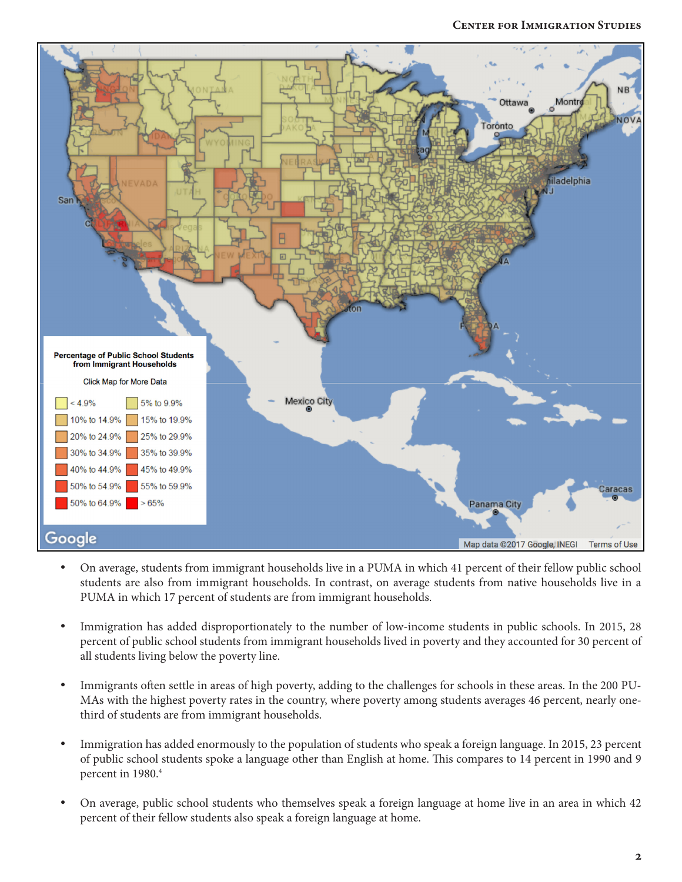

- On average, students from immigrant households live in a PUMA in which 41 percent of their fellow public school students are also from immigrant households. In contrast, on average students from native households live in a PUMA in which 17 percent of students are from immigrant households.
- Immigration has added disproportionately to the number of low-income students in public schools. In 2015, 28 percent of public school students from immigrant households lived in poverty and they accounted for 30 percent of all students living below the poverty line.
- Immigrants often settle in areas of high poverty, adding to the challenges for schools in these areas. In the 200 PU-MAs with the highest poverty rates in the country, where poverty among students averages 46 percent, nearly onethird of students are from immigrant households.
- Immigration has added enormously to the population of students who speak a foreign language. In 2015, 23 percent of public school students spoke a language other than English at home. This compares to 14 percent in 1990 and 9 percent in 1980.<sup>4</sup>
- On average, public school students who themselves speak a foreign language at home live in an area in which 42 percent of their fellow students also speak a foreign language at home.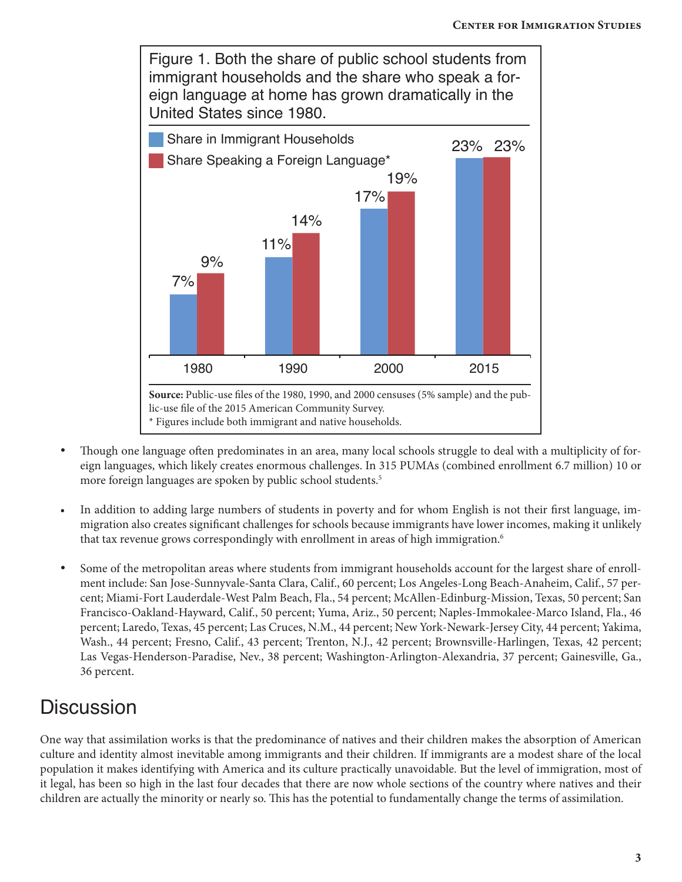

- Though one language often predominates in an area, many local schools struggle to deal with a multiplicity of foreign languages, which likely creates enormous challenges. In 315 PUMAs (combined enrollment 6.7 million) 10 or more foreign languages are spoken by public school students.<sup>5</sup>
- In addition to adding large numbers of students in poverty and for whom English is not their first language, immigration also creates significant challenges for schools because immigrants have lower incomes, making it unlikely that tax revenue grows correspondingly with enrollment in areas of high immigration.<sup>6</sup>
- Some of the metropolitan areas where students from immigrant households account for the largest share of enrollment include: San Jose-Sunnyvale-Santa Clara, Calif., 60 percent; Los Angeles-Long Beach-Anaheim, Calif., 57 percent; Miami-Fort Lauderdale-West Palm Beach, Fla., 54 percent; McAllen-Edinburg-Mission, Texas, 50 percent; San Francisco-Oakland-Hayward, Calif., 50 percent; Yuma, Ariz., 50 percent; Naples-Immokalee-Marco Island, Fla., 46 percent; Laredo, Texas, 45 percent; Las Cruces, N.M., 44 percent; New York-Newark-Jersey City, 44 percent; Yakima, Wash., 44 percent; Fresno, Calif., 43 percent; Trenton, N.J., 42 percent; Brownsville-Harlingen, Texas, 42 percent; Las Vegas-Henderson-Paradise, Nev., 38 percent; Washington-Arlington-Alexandria, 37 percent; Gainesville, Ga., 36 percent.

# **Discussion**

One way that assimilation works is that the predominance of natives and their children makes the absorption of American culture and identity almost inevitable among immigrants and their children. If immigrants are a modest share of the local population it makes identifying with America and its culture practically unavoidable. But the level of immigration, most of it legal, has been so high in the last four decades that there are now whole sections of the country where natives and their children are actually the minority or nearly so. This has the potential to fundamentally change the terms of assimilation.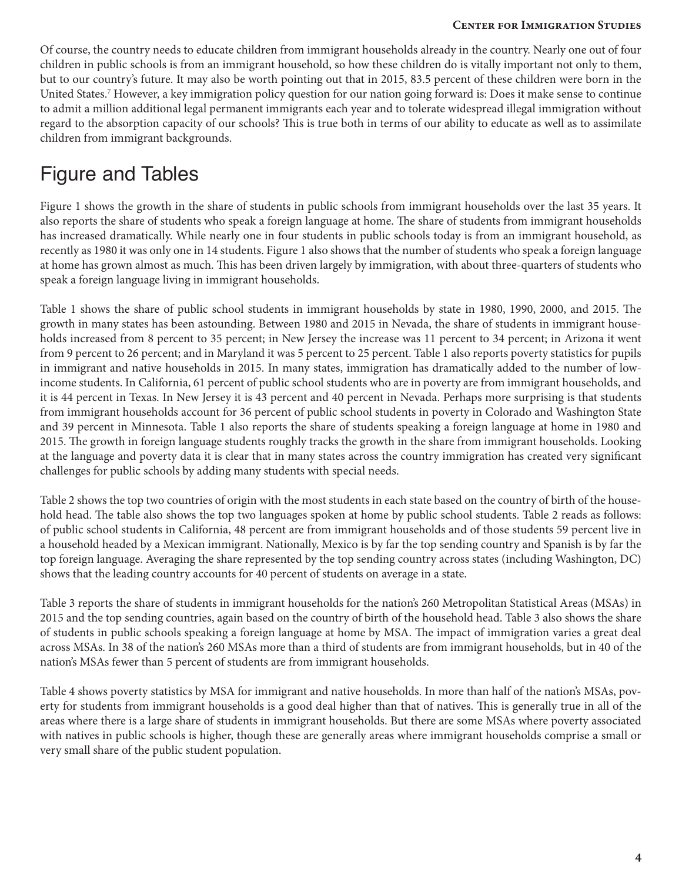#### **Center for Immigration Studies Center for Immigration Studies**

Of course, the country needs to educate children from immigrant households already in the country. Nearly one out of four children in public schools is from an immigrant household, so how these children do is vitally important not only to them, but to our country's future. It may also be worth pointing out that in 2015, 83.5 percent of these children were born in the United States.7 However, a key immigration policy question for our nation going forward is: Does it make sense to continue to admit a million additional legal permanent immigrants each year and to tolerate widespread illegal immigration without regard to the absorption capacity of our schools? This is true both in terms of our ability to educate as well as to assimilate children from immigrant backgrounds.

## Figure and Tables

Figure 1 shows the growth in the share of students in public schools from immigrant households over the last 35 years. It also reports the share of students who speak a foreign language at home. The share of students from immigrant households has increased dramatically. While nearly one in four students in public schools today is from an immigrant household, as recently as 1980 it was only one in 14 students. Figure 1 also shows that the number of students who speak a foreign language at home has grown almost as much. This has been driven largely by immigration, with about three-quarters of students who speak a foreign language living in immigrant households.

Table 1 shows the share of public school students in immigrant households by state in 1980, 1990, 2000, and 2015. The growth in many states has been astounding. Between 1980 and 2015 in Nevada, the share of students in immigrant households increased from 8 percent to 35 percent; in New Jersey the increase was 11 percent to 34 percent; in Arizona it went from 9 percent to 26 percent; and in Maryland it was 5 percent to 25 percent. Table 1 also reports poverty statistics for pupils in immigrant and native households in 2015. In many states, immigration has dramatically added to the number of lowincome students. In California, 61 percent of public school students who are in poverty are from immigrant households, and it is 44 percent in Texas. In New Jersey it is 43 percent and 40 percent in Nevada. Perhaps more surprising is that students from immigrant households account for 36 percent of public school students in poverty in Colorado and Washington State and 39 percent in Minnesota. Table 1 also reports the share of students speaking a foreign language at home in 1980 and 2015. The growth in foreign language students roughly tracks the growth in the share from immigrant households. Looking at the language and poverty data it is clear that in many states across the country immigration has created very significant challenges for public schools by adding many students with special needs.

Table 2 shows the top two countries of origin with the most students in each state based on the country of birth of the household head. The table also shows the top two languages spoken at home by public school students. Table 2 reads as follows: of public school students in California, 48 percent are from immigrant households and of those students 59 percent live in a household headed by a Mexican immigrant. Nationally, Mexico is by far the top sending country and Spanish is by far the top foreign language. Averaging the share represented by the top sending country across states (including Washington, DC) shows that the leading country accounts for 40 percent of students on average in a state.

Table 3 reports the share of students in immigrant households for the nation's 260 Metropolitan Statistical Areas (MSAs) in 2015 and the top sending countries, again based on the country of birth of the household head. Table 3 also shows the share of students in public schools speaking a foreign language at home by MSA. The impact of immigration varies a great deal across MSAs. In 38 of the nation's 260 MSAs more than a third of students are from immigrant households, but in 40 of the nation's MSAs fewer than 5 percent of students are from immigrant households.

Table 4 shows poverty statistics by MSA for immigrant and native households. In more than half of the nation's MSAs, poverty for students from immigrant households is a good deal higher than that of natives. This is generally true in all of the areas where there is a large share of students in immigrant households. But there are some MSAs where poverty associated with natives in public schools is higher, though these are generally areas where immigrant households comprise a small or very small share of the public student population.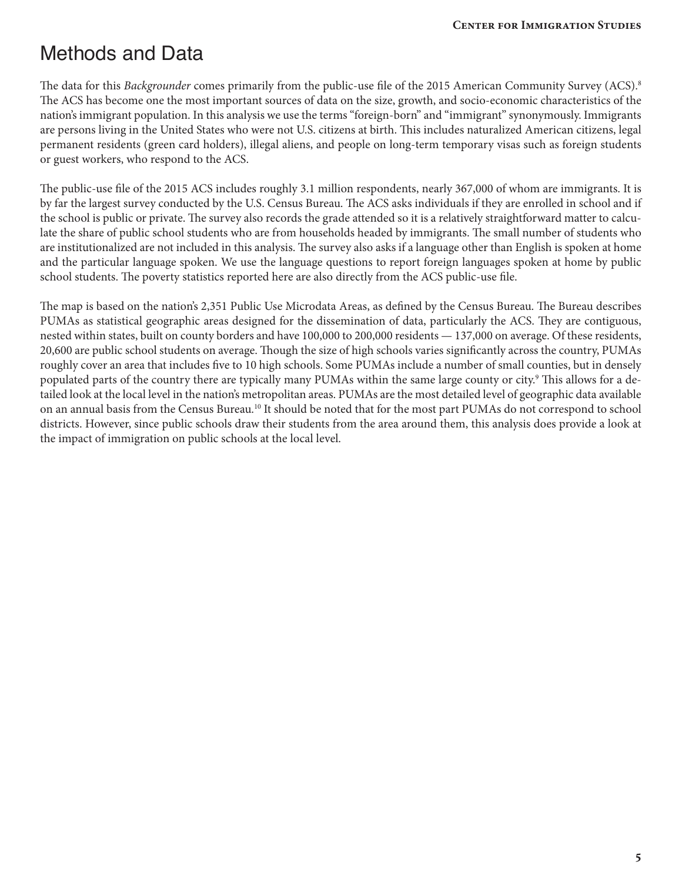## Methods and Data

The data for this *Backgrounder* comes primarily from the public-use file of the 2015 American Community Survey (ACS).<sup>8</sup> The ACS has become one the most important sources of data on the size, growth, and socio-economic characteristics of the nation's immigrant population. In this analysis we use the terms "foreign-born" and "immigrant" synonymously. Immigrants are persons living in the United States who were not U.S. citizens at birth. This includes naturalized American citizens, legal permanent residents (green card holders), illegal aliens, and people on long-term temporary visas such as foreign students or guest workers, who respond to the ACS.

The public-use file of the 2015 ACS includes roughly 3.1 million respondents, nearly 367,000 of whom are immigrants. It is by far the largest survey conducted by the U.S. Census Bureau. The ACS asks individuals if they are enrolled in school and if the school is public or private. The survey also records the grade attended so it is a relatively straightforward matter to calculate the share of public school students who are from households headed by immigrants. The small number of students who are institutionalized are not included in this analysis. The survey also asks if a language other than English is spoken at home and the particular language spoken. We use the language questions to report foreign languages spoken at home by public school students. The poverty statistics reported here are also directly from the ACS public-use file.

The map is based on the nation's 2,351 Public Use Microdata Areas, as defined by the Census Bureau. The Bureau describes PUMAs as statistical geographic areas designed for the dissemination of data, particularly the ACS. They are contiguous, nested within states, built on county borders and have 100,000 to 200,000 residents — 137,000 on average. Of these residents, 20,600 are public school students on average. Though the size of high schools varies significantly across the country, PUMAs roughly cover an area that includes five to 10 high schools. Some PUMAs include a number of small counties, but in densely populated parts of the country there are typically many PUMAs within the same large county or city.9 This allows for a detailed look at the local level in the nation's metropolitan areas. PUMAs are the most detailed level of geographic data available on an annual basis from the Census Bureau.10 It should be noted that for the most part PUMAs do not correspond to school districts. However, since public schools draw their students from the area around them, this analysis does provide a look at the impact of immigration on public schools at the local level.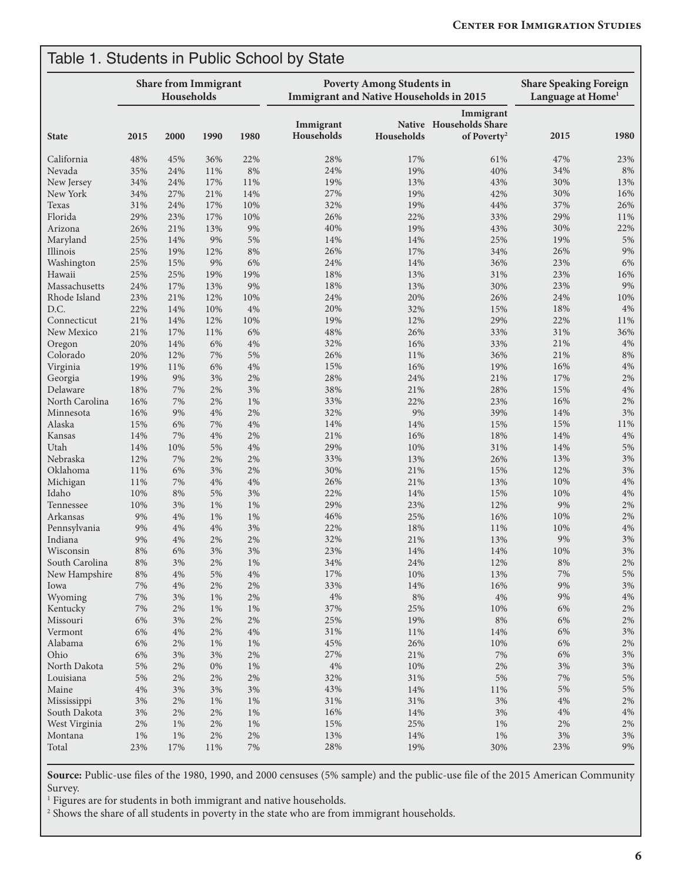| <b>State</b>   | <b>Share from Immigrant</b><br>Households |       |       |       | <b>Poverty Among Students in</b><br><b>Immigrant and Native Households in 2015</b> | <b>Share Speaking Foreign</b><br>Language at Home <sup>1</sup> |                                                                 |        |        |
|----------------|-------------------------------------------|-------|-------|-------|------------------------------------------------------------------------------------|----------------------------------------------------------------|-----------------------------------------------------------------|--------|--------|
|                | 2015                                      | 2000  | 1990  | 1980  | Immigrant<br>Households                                                            | Households                                                     | Immigrant<br>Native Households Share<br>of Poverty <sup>2</sup> | 2015   | 1980   |
| California     | 48%                                       | 45%   | 36%   | 22%   | 28%                                                                                | 17%                                                            | 61%                                                             | 47%    | 23%    |
| Nevada         | 35%                                       | 24%   | 11%   | 8%    | 24%                                                                                | 19%                                                            | 40%                                                             | 34%    | 8%     |
| New Jersey     | 34%                                       | 24%   | 17%   | 11%   | 19%                                                                                | 13%                                                            | 43%                                                             | 30%    | 13%    |
| New York       | 34%                                       | 27%   | 21%   | 14%   | 27%                                                                                | 19%                                                            | 42%                                                             | 30%    | 16%    |
| Texas          | 31%                                       | 24%   | 17%   | 10%   | 32%                                                                                | 19%                                                            | 44%                                                             | 37%    | 26%    |
| Florida        | 29%                                       | 23%   | 17%   | 10%   | 26%                                                                                | 22%                                                            | 33%                                                             | 29%    | 11%    |
| Arizona        | 26%                                       | 21%   | 13%   | 9%    | 40%                                                                                | 19%                                                            | 43%                                                             | 30%    | 22%    |
| Maryland       | 25%                                       | 14%   | 9%    | 5%    | 14%                                                                                | 14%                                                            | 25%                                                             | 19%    | 5%     |
| Illinois       | 25%                                       | 19%   | 12%   | 8%    | 26%                                                                                | 17%                                                            | 34%                                                             | 26%    | 9%     |
|                |                                           |       | 9%    | 6%    | 24%                                                                                | 14%                                                            | 36%                                                             | 23%    | 6%     |
| Washington     | 25%                                       | 15%   |       |       |                                                                                    |                                                                |                                                                 |        |        |
| Hawaii         | 25%                                       | 25%   | 19%   | 19%   | 18%                                                                                | 13%                                                            | 31%                                                             | 23%    | 16%    |
| Massachusetts  | 24%                                       | 17%   | 13%   | 9%    | 18%                                                                                | 13%                                                            | 30%                                                             | 23%    | 9%     |
| Rhode Island   | 23%                                       | 21%   | 12%   | 10%   | 24%                                                                                | 20%                                                            | 26%                                                             | 24%    | 10%    |
| D.C.           | 22%                                       | 14%   | 10%   | 4%    | 20%                                                                                | 32%                                                            | 15%                                                             | 18%    | 4%     |
| Connecticut    | 21%                                       | 14%   | 12%   | 10%   | 19%                                                                                | 12%                                                            | 29%                                                             | 22%    | 11%    |
| New Mexico     | 21%                                       | 17%   | 11%   | 6%    | 48%                                                                                | 26%                                                            | 33%                                                             | 31%    | 36%    |
| Oregon         | 20%                                       | 14%   | 6%    | 4%    | 32%                                                                                | 16%                                                            | 33%                                                             | 21%    | 4%     |
| Colorado       | 20%                                       | 12%   | 7%    | 5%    | 26%                                                                                | 11%                                                            | 36%                                                             | 21%    | 8%     |
| Virginia       | 19%                                       | 11%   | 6%    | 4%    | 15%                                                                                | 16%                                                            | 19%                                                             | 16%    | 4%     |
| Georgia        | 19%                                       | 9%    | 3%    | 2%    | 28%                                                                                | 24%                                                            | 21%                                                             | 17%    | 2%     |
| Delaware       | 18%                                       | 7%    | 2%    | 3%    | 38%                                                                                | 21%                                                            | 28%                                                             | 15%    | 4%     |
| North Carolina | 16%                                       | 7%    | 2%    | 1%    | 33%                                                                                | 22%                                                            | 23%                                                             | 16%    | $2\%$  |
| Minnesota      | 16%                                       | 9%    | $4\%$ | 2%    | 32%                                                                                | 9%                                                             | 39%                                                             | 14%    | 3%     |
| Alaska         | 15%                                       | 6%    | 7%    | 4%    | 14%                                                                                | 14%                                                            | 15%                                                             | 15%    | $11\%$ |
| Kansas         | 14%                                       | 7%    | 4%    | 2%    | 21%                                                                                | 16%                                                            | 18%                                                             | 14%    | 4%     |
| Utah           | 14%                                       | 10%   | 5%    | 4%    | 29%                                                                                | 10%                                                            | 31%                                                             | 14%    | 5%     |
| Nebraska       | 12%                                       | 7%    | 2%    | 2%    | 33%                                                                                | 13%                                                            | 26%                                                             | 13%    | 3%     |
| Oklahoma       | 11%                                       | 6%    | 3%    | 2%    | 30%                                                                                | 21%                                                            | 15%                                                             | 12%    | 3%     |
| Michigan       | 11%                                       | 7%    | 4%    | 4%    | 26%                                                                                | 21%                                                            | 13%                                                             | 10%    | 4%     |
| Idaho          | 10%                                       | 8%    | 5%    | 3%    | 22%                                                                                | 14%                                                            | 15%                                                             | 10%    | 4%     |
| Tennessee      | 10%                                       | 3%    | 1%    | 1%    | 29%                                                                                | 23%                                                            | 12%                                                             | 9%     | 2%     |
| Arkansas       | 9%                                        | 4%    | $1\%$ | 1%    | 46%                                                                                | 25%                                                            | 16%                                                             | 10%    | 2%     |
| Pennsylvania   | 9%                                        | 4%    | 4%    | 3%    | 22%                                                                                | 18%                                                            | 11%                                                             | 10%    | 4%     |
| Indiana        | 9%                                        | 4%    | 2%    | 2%    | 32%                                                                                | 21%                                                            | 13%                                                             | 9%     | 3%     |
| Wisconsin      | $8\%$                                     | 6%    | 3%    | 3%    | 23%                                                                                | $14\%$                                                         | $14\%$                                                          | $10\%$ | $3\%$  |
| South Carolina | $8\%$                                     | $3\%$ | $2\%$ | 1%    | 34%                                                                                | 24%                                                            | 12%                                                             | $8\%$  | $2\%$  |
| New Hampshire  | 8%                                        | 4%    | 5%    | $4\%$ | 17%                                                                                | 10%                                                            | $13\%$                                                          | 7%     | $5\%$  |
| Iowa           | 7%                                        | 4%    | 2%    | $2\%$ | 33%                                                                                | 14%                                                            | 16%                                                             | $9\%$  | $3\%$  |
|                | $7\%$                                     | 3%    |       | 2%    | 4%                                                                                 | $8\%$                                                          | $4\%$                                                           | $9\%$  | $4\%$  |
| Wyoming        |                                           |       | 1%    |       |                                                                                    |                                                                |                                                                 |        |        |
| Kentucky       | 7%                                        | 2%    | 1%    | 1%    | 37%                                                                                | 25%                                                            | 10%                                                             | 6%     | 2%     |
| Missouri       | 6%                                        | 3%    | 2%    | $2\%$ | 25%                                                                                | 19%                                                            | $8\%$                                                           | $6\%$  | 2%     |
| Vermont        | 6%                                        | $4\%$ | $2\%$ | $4\%$ | 31%                                                                                | 11%                                                            | 14%                                                             | $6\%$  | $3\%$  |
| Alabama        | 6%                                        | 2%    | 1%    | 1%    | 45%                                                                                | 26%                                                            | $10\%$                                                          | $6\%$  | $2\%$  |
| Ohio           | 6%                                        | 3%    | 3%    | $2\%$ | 27%                                                                                | 21%                                                            | $7\%$                                                           | $6\%$  | $3\%$  |
| North Dakota   | $5\%$                                     | $2\%$ | $0\%$ | 1%    | $4\%$                                                                              | 10%                                                            | $2\%$                                                           | $3\%$  | 3%     |
| Louisiana      | 5%                                        | 2%    | 2%    | 2%    | 32%                                                                                | $31\%$                                                         | $5\%$                                                           | $7\%$  | $5\%$  |
| Maine          | 4%                                        | 3%    | 3%    | 3%    | 43%                                                                                | 14%                                                            | $11\%$                                                          | 5%     | 5%     |
| Mississippi    | 3%                                        | 2%    | 1%    | 1%    | 31%                                                                                | $31\%$                                                         | 3%                                                              | $4\%$  | 2%     |
| South Dakota   | 3%                                        | $2\%$ | 2%    | 1%    | 16%                                                                                | 14%                                                            | 3%                                                              | $4\%$  | 4%     |
| West Virginia  | 2%                                        | 1%    | 2%    | 1%    | 15%                                                                                | 25%                                                            | $1\%$                                                           | $2\%$  | 2%     |
| Montana        | 1%                                        | 1%    | 2%    | $2\%$ | 13%                                                                                | 14%                                                            | 1%                                                              | $3\%$  | 3%     |
| Total          | 23%                                       | 17%   | 11%   | $7\%$ | 28%                                                                                | 19%                                                            | 30%                                                             | 23%    | $9\%$  |

**Source:** Public-use files of the 1980, 1990, and 2000 censuses (5% sample) and the public-use file of the 2015 American Community Survey.

<sup>1</sup> Figures are for students in both immigrant and native households.

2 Shows the share of all students in poverty in the state who are from immigrant households.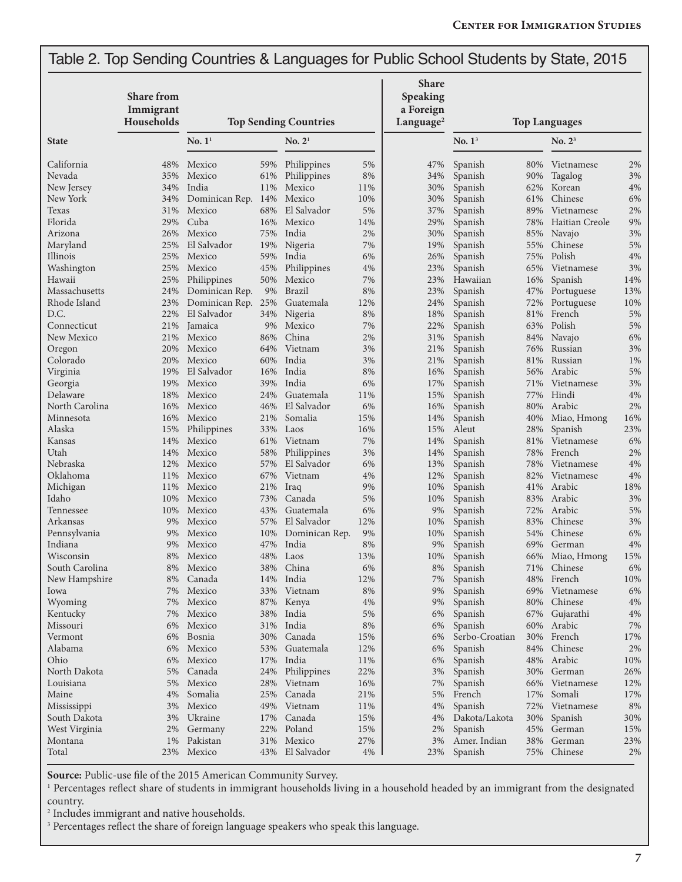### Table 2. Top Sending Countries & Languages for Public School Students by State, 2015

|                  | <b>Share from</b>       |                     |            |                              |           | <b>Share</b><br>Speaking           |                      |            |                     |          |
|------------------|-------------------------|---------------------|------------|------------------------------|-----------|------------------------------------|----------------------|------------|---------------------|----------|
|                  | Immigrant<br>Households |                     |            | <b>Top Sending Countries</b> |           | a Foreign<br>Language <sup>2</sup> | <b>Top Languages</b> |            |                     |          |
| <b>State</b>     |                         | $\mathrm{No.}\,1^1$ |            | No. 2 <sup>1</sup>           |           |                                    | No. $13$             |            | $\mathrm{No.}\ 2^3$ |          |
| California       | 48%                     | Mexico              | 59%        | Philippines                  | 5%        | 47%                                | Spanish              | 80%        | Vietnamese          | 2%       |
| Nevada           | 35%                     | Mexico              | 61%        | Philippines                  | 8%        | 34%                                | Spanish              | 90%        | Tagalog             | 3%       |
| New Jersey       | 34%                     | India               | 11%        | Mexico                       | 11%       | 30%                                | Spanish              | 62%        | Korean              | 4%       |
| New York         | 34%                     | Dominican Rep. 14%  |            | Mexico                       | 10%       | 30%                                | Spanish              | 61%        | Chinese             | 6%       |
| Texas<br>Florida | 31%                     | Mexico<br>Cuba      | 68%        | El Salvador                  | 5%        | 37%                                | Spanish              | 89%        | Vietnamese          | 2%       |
| Arizona          | 29%<br>26%              | Mexico              | 16%<br>75% | Mexico<br>India              | 14%<br>2% | 29%<br>30%                         | Spanish              | 78%        | Haitian Creole      | 9%<br>3% |
| Maryland         | 25%                     | El Salvador         | 19%        | Nigeria                      | 7%        | 19%                                | Spanish<br>Spanish   | 85%<br>55% | Navajo<br>Chinese   | 5%       |
| Illinois         | 25%                     | Mexico              | 59%        | India                        | 6%        | 26%                                | Spanish              | 75%        | Polish              | 4%       |
| Washington       | 25%                     | Mexico              | 45%        | Philippines                  | 4%        | 23%                                | Spanish              | 65%        | Vietnamese          | 3%       |
| Hawaii           | 25%                     | Philippines         | 50%        | Mexico                       | 7%        | 23%                                | Hawaiian             | 16%        | Spanish             | 14%      |
| Massachusetts    | 24%                     | Dominican Rep.      | 9%         | <b>Brazil</b>                | 8%        | 23%                                | Spanish              | 47%        | Portuguese          | 13%      |
| Rhode Island     | 23%                     | Dominican Rep. 25%  |            | Guatemala                    | 12%       | 24%                                | Spanish              | 72%        | Portuguese          | 10%      |
| D.C.             | 22%                     | El Salvador         | 34%        | Nigeria                      | 8%        | 18%                                | Spanish              | 81%        | French              | 5%       |
| Connecticut      | 21%                     | Jamaica             | 9%         | Mexico                       | 7%        | 22%                                | Spanish              | 63%        | Polish              | 5%       |
| New Mexico       | 21%                     | Mexico              | 86%        | China                        | 2%        | 31%                                | Spanish              | 84%        | Navajo              | 6%       |
| Oregon           | 20%                     | Mexico              | 64%        | Vietnam                      | 3%        | 21%                                | Spanish              | 76%        | Russian             | 3%       |
| Colorado         | 20%                     | Mexico              | 60%        | India                        | 3%        | 21%                                | Spanish              | 81%        | Russian             | 1%       |
| Virginia         | 19%                     | El Salvador         | 16%        | India                        | 8%        | 16%                                | Spanish              | 56%        | Arabic              | 5%       |
| Georgia          | 19%                     | Mexico              | 39%        | India                        | 6%        | 17%                                | Spanish              | 71%        | Vietnamese          | 3%       |
| Delaware         | 18%                     | Mexico              | 24%        | Guatemala                    | 11%       | 15%                                | Spanish              | 77%        | Hindi               | 4%       |
| North Carolina   | 16%                     | Mexico              | 46%        | El Salvador                  | 6%        | 16%                                | Spanish              | 80%        | Arabic              | 2%       |
| Minnesota        | 16%                     | Mexico              | 21%        | Somalia                      | 15%       | 14%                                | Spanish              | 40%        | Miao, Hmong         | 16%      |
| Alaska           | 15%                     | Philippines         | 33%        | Laos                         | 16%       | 15%                                | Aleut                | 28%        | Spanish             | 23%      |
| Kansas           | 14%                     | Mexico              | 61%        | Vietnam                      | 7%        | 14%                                | Spanish              | 81%        | Vietnamese          | 6%       |
| Utah             | 14%                     | Mexico              | 58%        | Philippines                  | 3%        | 14%                                | Spanish              | 78%        | French              | 2%       |
| Nebraska         | 12%                     | Mexico              | 57%        | El Salvador                  | 6%        | 13%                                | Spanish              | 78%        | Vietnamese          | 4%       |
| Oklahoma         | 11%                     | Mexico              | 67%        | Vietnam                      | 4%        | 12%                                | Spanish              | 82%        | Vietnamese          | 4%       |
| Michigan         | 11%                     | Mexico              | 21%        | Iraq                         | 9%        | 10%                                | Spanish              | 41%        | Arabic              | 18%      |
| Idaho            | 10%                     | Mexico              | 73%        | Canada                       | 5%        | 10%                                | Spanish              | 83%        | Arabic              | 3%       |
| Tennessee        | 10%                     | Mexico              | 43%        | Guatemala                    | 6%        | 9%                                 | Spanish              | 72%        | Arabic              | 5%       |
| Arkansas         | 9%                      | Mexico              | 57%        | El Salvador                  | 12%       | 10%                                | Spanish              | 83%        | Chinese             | 3%       |
| Pennsylvania     | 9%                      | Mexico              | 10%        | Dominican Rep.               | 9%        | 10%                                | Spanish              | 54%        | Chinese             | 6%       |
| Indiana          | 9%                      | Mexico              | 47%        | India                        | $8\%$     | 9%                                 | Spanish              | 69%        | German              | 4%       |
| Wisconsin        | 8%                      | Mexico              | 48%        | Laos                         | 13%       | 10%                                | Spanish              | 66%        | Miao, Hmong         | 15%      |
| South Carolina   | 8%                      | Mexico              | 38%        | China                        | 6%        | 8%                                 | Spanish              | 71%        | Chinese             | 6%       |
| New Hampshire    | 8%                      | Canada              |            | 14% India                    | 12%       | 7%                                 | Spanish              | 48%        | French              | 10%      |
| Iowa             | 7%                      | Mexico              | 33%        | Vietnam                      | $8\%$     | 9%                                 | Spanish              | 69%        | Vietnamese          | 6%       |
| Wyoming          | 7%                      | Mexico              |            | 87% Kenya                    | 4%        | 9%                                 | Spanish              | 80%        | Chinese             | 4%       |
| Kentucky         | 7%                      | Mexico              | 38%        | India                        | 5%        | 6%                                 | Spanish              | 67%        | Gujarathi           | 4%       |
| Missouri         | 6%                      | Mexico              | 31%        | India                        | 8%        | 6%                                 | Spanish              | 60%        | Arabic              | 7%       |
| Vermont          | 6%                      | Bosnia              | 30%        | Canada                       | 15%       | 6%                                 | Serbo-Croatian       | 30%        | French              | 17%      |
| Alabama          | 6%                      | Mexico              | 53%        | Guatemala                    | 12%       | 6%                                 | Spanish              | 84%        | Chinese             | $2\%$    |
| Ohio             | 6%                      | Mexico              | 17%        | India                        | 11%       | 6%                                 | Spanish              | 48%        | Arabic              | 10%      |
| North Dakota     | 5%                      | Canada              | 24%        | Philippines                  | 22%       | 3%                                 | Spanish              | 30%        | German              | 26%      |
| Louisiana        | 5%                      | Mexico              | 28%        | Vietnam                      | 16%       | 7%                                 | Spanish              | 66%        | Vietnamese          | 12%      |
| Maine            | 4%                      | Somalia             | 25%        | Canada                       | 21%       | 5%                                 | French               | 17%        | Somali              | 17%      |
| Mississippi      | 3%                      | Mexico              | 49%        | Vietnam                      | 11%       | 4%                                 | Spanish              | 72%        | Vietnamese          | 8%       |
| South Dakota     | 3%                      | Ukraine             | 17%        | Canada                       | 15%       | 4%                                 | Dakota/Lakota        | 30%        | Spanish             | 30%      |
| West Virginia    | 2%                      | Germany             | 22%        | Poland                       | 15%       | 2%                                 | Spanish              | 45%        | German              | 15%      |
| Montana          | 1%                      | Pakistan            | 31%        | Mexico                       | 27%       | 3%                                 | Amer. Indian         | 38%        | German              | 23%      |
| Total            | 23%                     | Mexico              |            | 43% El Salvador              | 4%        | 23%                                | Spanish              | 75%        | Chinese             | 2%       |

Source: Public-use file of the 2015 American Community Survey.

<sup>1</sup> Percentages reflect share of students in immigrant households living in a household headed by an immigrant from the designated country.

2 Includes immigrant and native households.

<sup>3</sup> Percentages reflect the share of foreign language speakers who speak this language.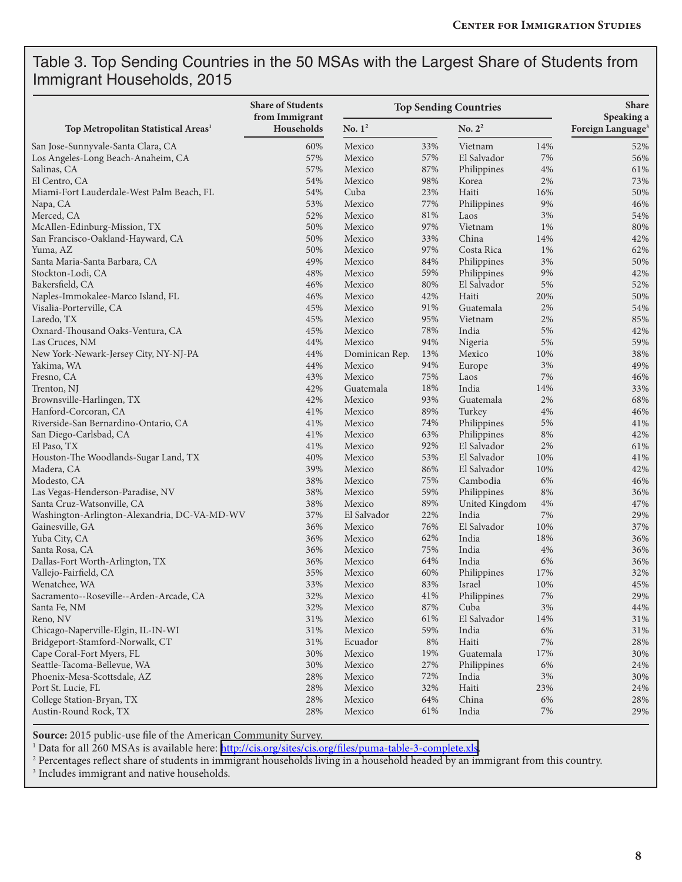#### Table 3. Top Sending Countries in the 50 MSAs with the Largest Share of Students from Immigrant Households, 2015

|                                                          | <b>Share of Students</b>     | <b>Top Sending Countries</b> | <b>Share</b> |                       |             |                                             |  |
|----------------------------------------------------------|------------------------------|------------------------------|--------------|-----------------------|-------------|---------------------------------------------|--|
| Top Metropolitan Statistical Areas <sup>1</sup>          | from Immigrant<br>Households | No. $1^2$                    |              | No. $2^2$             |             | Speaking a<br>Foreign Language <sup>3</sup> |  |
| San Jose-Sunnyvale-Santa Clara, CA                       | 60%                          | Mexico                       | 33%          | Vietnam               | 14%         | 52%                                         |  |
| Los Angeles-Long Beach-Anaheim, CA                       | 57%                          | Mexico                       | 57%          | El Salvador           | 7%          | 56%                                         |  |
| Salinas, CA                                              | 57%                          | Mexico                       | 87%          | Philippines           | 4%          | 61%                                         |  |
| El Centro, CA                                            | 54%                          | Mexico                       | 98%          | Korea                 | 2%          | 73%                                         |  |
| Miami-Fort Lauderdale-West Palm Beach, FL                | 54%                          | Cuba                         | 23%          | Haiti                 | 16%         | 50%                                         |  |
| Napa, CA                                                 | 53%                          | Mexico                       | 77%          | Philippines           | 9%          | 46%                                         |  |
| Merced, CA                                               | 52%                          | Mexico                       | $81\%$       | Laos                  | 3%          | 54%                                         |  |
| McAllen-Edinburg-Mission, TX                             | 50%                          | Mexico                       | 97%          | Vietnam               | 1%          | 80%                                         |  |
| San Francisco-Oakland-Hayward, CA                        | 50%                          | Mexico                       | 33%          | China                 | 14%         | 42%                                         |  |
| Yuma, AZ                                                 | 50%                          | Mexico                       | 97%          | Costa Rica            | 1%          | 62%                                         |  |
| Santa Maria-Santa Barbara, CA                            | 49%                          | Mexico                       | 84%          | Philippines           | $3\%$       | 50%                                         |  |
| Stockton-Lodi, CA                                        | 48%                          | Mexico                       | 59%          | Philippines           | $9\%$       | 42%                                         |  |
| Bakersfield, CA                                          | 46%                          | Mexico                       | 80%          | El Salvador           | 5%          | 52%                                         |  |
| Naples-Immokalee-Marco Island, FL                        | 46%                          | Mexico                       | 42%          | Haiti                 | 20%         | 50%                                         |  |
| Visalia-Porterville, CA                                  | 45%                          | Mexico                       | 91%          | Guatemala             | 2%          | 54%                                         |  |
| Laredo, TX                                               | 45%                          | Mexico                       | 95%          | Vietnam               | 2%          | 85%                                         |  |
| Oxnard-Thousand Oaks-Ventura, CA                         | 45%                          | Mexico                       | 78%          | India                 | 5%          | 42%                                         |  |
| Las Cruces, NM                                           | 44%                          | Mexico                       | 94%          | Nigeria               | $5\%$       | 59%                                         |  |
| New York-Newark-Jersey City, NY-NJ-PA                    | 44%                          | Dominican Rep.               | 13%          | Mexico                | 10%         | 38%                                         |  |
| Yakima, WA                                               | 44%                          | Mexico                       | 94%          | Europe                | 3%          | 49%                                         |  |
| Fresno, CA                                               | 43%                          | Mexico                       | 75%          | Laos                  | 7%          | 46%                                         |  |
| Trenton, NJ                                              | 42%                          | Guatemala                    | $18\%$       | India                 | 14%         | 33%                                         |  |
| Brownsville-Harlingen, TX                                | 42%                          | Mexico                       | 93%          | Guatemala             | 2%          | 68%                                         |  |
| Hanford-Corcoran, CA                                     | 41%                          | Mexico                       | 89%          | Turkey                | 4%          | 46%                                         |  |
| Riverside-San Bernardino-Ontario, CA                     | 41%                          | Mexico                       | 74%          | Philippines           | 5%          | 41%                                         |  |
| San Diego-Carlsbad, CA                                   | 41%                          | Mexico                       | 63%          | Philippines           | $8\%$       | 42%                                         |  |
| El Paso, TX                                              | 41%                          | Mexico                       | 92%          | El Salvador           | 2%          | 61%                                         |  |
| Houston-The Woodlands-Sugar Land, TX                     | 40%                          | Mexico                       | 53%          | El Salvador           | 10%         | 41%                                         |  |
| Madera, CA                                               | 39%                          | Mexico                       | 86%          | El Salvador           | 10%         | 42%                                         |  |
| Modesto, CA                                              | 38%                          | Mexico                       | 75%          | Cambodia              | 6%          | 46%                                         |  |
| Las Vegas-Henderson-Paradise, NV                         | 38%                          | Mexico                       | 59%          | Philippines           | 8%          | 36%                                         |  |
| Santa Cruz-Watsonville, CA                               | 38%                          | Mexico                       | 89%          | United Kingdom        | 4%          | 47%                                         |  |
| Washington-Arlington-Alexandria, DC-VA-MD-WV             | 37%                          | El Salvador                  | 22%          | India                 | 7%          | 29%                                         |  |
| Gainesville, GA                                          | 36%                          | Mexico                       | 76%          | El Salvador           | 10%         | 37%                                         |  |
| Yuba City, CA                                            | 36%                          | Mexico                       | 62%          | India                 | 18%         | 36%                                         |  |
| Santa Rosa, CA                                           | 36%                          | Mexico                       | 75%          | India                 | 4%          | 36%                                         |  |
| Dallas-Fort Worth-Arlington, TX                          | 36%                          | Mexico                       | 64%          | India                 | 6%          | 36%                                         |  |
|                                                          | 35%                          | Mexico                       | 60%          |                       | 17%         | 32%                                         |  |
| Vallejo-Fairfield, CA<br>Wenatchee, WA                   | 33%                          | Mexico                       | 83%          | Philippines<br>Israel | 10%         | 45%                                         |  |
| Sacramento--Roseville--Arden-Arcade, CA                  | 32%                          | Mexico                       | $41\%$       | Philippines           | $7\%$       | 29%                                         |  |
| Santa Fe, NM                                             | 32%                          | Mexico                       | 87%          | Cuba                  | 3%          | 44%                                         |  |
|                                                          | 31%                          |                              | 61%          | El Salvador           | 14%         | 31%                                         |  |
| Reno, NV                                                 |                              | Mexico                       |              |                       |             |                                             |  |
| Chicago-Naperville-Elgin, IL-IN-WI                       | 31%<br>31%                   | Mexico                       | 59%<br>$8\%$ | India<br>Haiti        | 6%<br>$7\%$ | 31%<br>28%                                  |  |
| Bridgeport-Stamford-Norwalk, CT                          |                              | Ecuador                      |              |                       |             |                                             |  |
| Cape Coral-Fort Myers, FL<br>Seattle-Tacoma-Bellevue, WA | 30%                          | Mexico<br>Mexico             | 19%          | Guatemala             | 17%         | 30%<br>24%                                  |  |
|                                                          | 30%                          |                              | 27%          | Philippines           | 6%          |                                             |  |
| Phoenix-Mesa-Scottsdale, AZ                              | 28%                          | Mexico                       | 72%          | India                 | $3\%$       | 30%                                         |  |
| Port St. Lucie, FL                                       | 28%                          | Mexico                       | 32%          | Haiti                 | 23%         | 24%                                         |  |
| College Station-Bryan, TX                                | 28%                          | Mexico                       | 64%          | China                 | 6%          | 28%                                         |  |
| Austin-Round Rock, TX                                    | 28%                          | Mexico                       | 61%          | India                 | 7%          | 29%                                         |  |

**Source:** 2015 public-use file of the American Community Survey.

<sup>1</sup> Data for all 260 MSAs is available here: <u><http://cis.org/sites/cis.org/files/puma-table-3-complete.xls></u>.<br><sup>2</sup> Percentages reflect share of students in immigrant households living in a household headed by an immigrant fr

3 Includes immigrant and native households.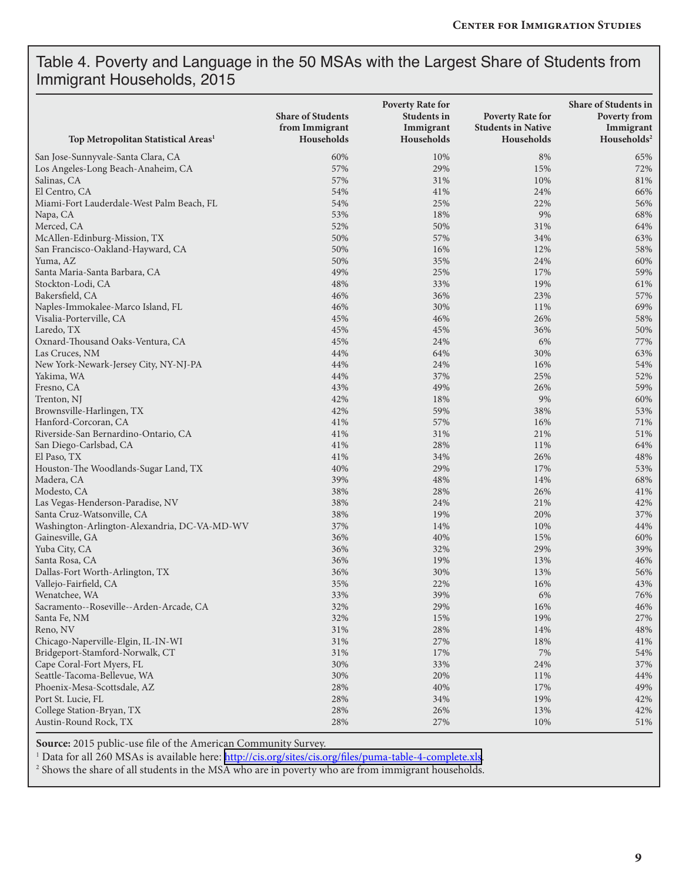#### Table 4. Poverty and Language in the 50 MSAs with the Largest Share of Students from Immigrant Households, 2015

| Top Metropolitan Statistical Areas <sup>1</sup>   | <b>Share of Students</b><br>from Immigrant<br>Households | <b>Poverty Rate for</b><br><b>Students in</b><br>Immigrant<br>Households | <b>Poverty Rate for</b><br><b>Students in Native</b><br>Households | Share of Students in<br><b>Poverty from</b><br>Immigrant<br>Households <sup>2</sup> |
|---------------------------------------------------|----------------------------------------------------------|--------------------------------------------------------------------------|--------------------------------------------------------------------|-------------------------------------------------------------------------------------|
|                                                   |                                                          |                                                                          |                                                                    |                                                                                     |
| San Jose-Sunnyvale-Santa Clara, CA                | 60%<br>57%                                               | 10%<br>29%                                                               | 8%<br>15%                                                          | 65%<br>72%                                                                          |
| Los Angeles-Long Beach-Anaheim, CA<br>Salinas, CA | 57%                                                      | 31%                                                                      | 10%                                                                |                                                                                     |
| El Centro, CA                                     | 54%                                                      | 41%                                                                      | 24%                                                                | 81%<br>66%                                                                          |
|                                                   | 54%                                                      | 25%                                                                      | 22%                                                                |                                                                                     |
| Miami-Fort Lauderdale-West Palm Beach, FL         | 53%                                                      | 18%                                                                      | 9%                                                                 | 56%<br>68%                                                                          |
| Napa, CA<br>Merced, CA                            | 52%                                                      | 50%                                                                      | 31%                                                                | 64%                                                                                 |
| McAllen-Edinburg-Mission, TX                      | 50%                                                      | 57%                                                                      | 34%                                                                | 63%                                                                                 |
| San Francisco-Oakland-Hayward, CA                 | 50%                                                      | 16%                                                                      | 12%                                                                | 58%                                                                                 |
| Yuma, AZ                                          | 50%                                                      | 35%                                                                      | 24%                                                                | 60%                                                                                 |
| Santa Maria-Santa Barbara, CA                     | 49%                                                      | 25%                                                                      | 17%                                                                | 59%                                                                                 |
| Stockton-Lodi, CA                                 | 48%                                                      | 33%                                                                      | 19%                                                                | 61%                                                                                 |
| Bakersfield, CA                                   | 46%                                                      | 36%                                                                      | 23%                                                                | 57%                                                                                 |
| Naples-Immokalee-Marco Island, FL                 | 46%                                                      | 30%                                                                      | 11%                                                                | 69%                                                                                 |
| Visalia-Porterville, CA                           | 45%                                                      | 46%                                                                      | 26%                                                                | 58%                                                                                 |
| Laredo, TX                                        | 45%                                                      | 45%                                                                      | 36%                                                                | 50%                                                                                 |
| Oxnard-Thousand Oaks-Ventura, CA                  | 45%                                                      | 24%                                                                      | 6%                                                                 | 77%                                                                                 |
| Las Cruces, NM                                    | 44%                                                      | 64%                                                                      | 30%                                                                | 63%                                                                                 |
| New York-Newark-Jersey City, NY-NJ-PA             | 44%                                                      | 24%                                                                      | 16%                                                                | 54%                                                                                 |
| Yakima, WA                                        | 44%                                                      | 37%                                                                      | 25%                                                                | 52%                                                                                 |
| Fresno, CA                                        | 43%                                                      | 49%                                                                      | 26%                                                                | 59%                                                                                 |
| Trenton, NJ                                       | 42%                                                      | 18%                                                                      | 9%                                                                 | 60%                                                                                 |
| Brownsville-Harlingen, TX                         | 42%                                                      | 59%                                                                      | 38%                                                                | 53%                                                                                 |
| Hanford-Corcoran, CA                              | 41%                                                      | 57%                                                                      | 16%                                                                | 71%                                                                                 |
| Riverside-San Bernardino-Ontario, CA              | 41%                                                      | 31%                                                                      | 21%                                                                | 51%                                                                                 |
| San Diego-Carlsbad, CA                            | 41%                                                      | 28%                                                                      | 11%                                                                | 64%                                                                                 |
| El Paso, TX                                       | 41%                                                      | 34%                                                                      | 26%                                                                | 48%                                                                                 |
| Houston-The Woodlands-Sugar Land, TX              | 40%                                                      | 29%                                                                      | 17%                                                                | 53%                                                                                 |
| Madera, CA                                        | 39%                                                      | 48%                                                                      | 14%                                                                | 68%                                                                                 |
| Modesto, CA                                       | 38%                                                      | 28%                                                                      | 26%                                                                | 41%                                                                                 |
| Las Vegas-Henderson-Paradise, NV                  | 38%                                                      | 24%                                                                      | 21%                                                                | 42%                                                                                 |
| Santa Cruz-Watsonville, CA                        | 38%                                                      | 19%                                                                      | 20%                                                                | 37%                                                                                 |
| Washington-Arlington-Alexandria, DC-VA-MD-WV      | 37%                                                      | 14%                                                                      | 10%                                                                | 44%                                                                                 |
| Gainesville, GA                                   | 36%                                                      | 40%                                                                      | 15%                                                                | 60%                                                                                 |
| Yuba City, CA                                     | 36%                                                      | 32%                                                                      | 29%                                                                | 39%                                                                                 |
| Santa Rosa, CA                                    | 36%                                                      | 19%                                                                      | 13%                                                                | 46%                                                                                 |
| Dallas-Fort Worth-Arlington, TX                   | 36%                                                      | 30%                                                                      | 13%                                                                | 56%                                                                                 |
| Vallejo-Fairfield, CA                             | 35%                                                      | 22%                                                                      | 16%                                                                | 43%                                                                                 |
| Wenatchee, WA                                     | $33\%$                                                   | 39%                                                                      | 6%                                                                 | 76%                                                                                 |
| Sacramento--Roseville--Arden-Arcade, CA           | 32%                                                      | 29%                                                                      | 16%                                                                | 46%                                                                                 |
| Santa Fe, NM                                      | 32%                                                      | 15%                                                                      | 19%                                                                | 27%                                                                                 |
| Reno, NV                                          | $31\%$                                                   | 28%                                                                      | 14%                                                                | 48%                                                                                 |
| Chicago-Naperville-Elgin, IL-IN-WI                | 31%                                                      | 27%                                                                      | 18%                                                                | 41%                                                                                 |
| Bridgeport-Stamford-Norwalk, CT                   | 31%                                                      | 17%                                                                      | 7%                                                                 | 54%                                                                                 |
| Cape Coral-Fort Myers, FL                         | 30%                                                      | 33%                                                                      | 24%                                                                | 37%                                                                                 |
| Seattle-Tacoma-Bellevue, WA                       | 30%                                                      | 20%                                                                      | 11%                                                                | 44%                                                                                 |
| Phoenix-Mesa-Scottsdale, AZ                       | 28%                                                      | 40%                                                                      | 17%                                                                | 49%                                                                                 |
| Port St. Lucie, FL                                | 28%                                                      | 34%                                                                      | 19%                                                                | 42%                                                                                 |
| College Station-Bryan, TX                         | 28%                                                      | 26%                                                                      | 13%                                                                | 42%                                                                                 |
| Austin-Round Rock, TX                             | 28%                                                      | 27%                                                                      | 10%                                                                | 51%                                                                                 |

**Source:** 2015 public-use file of the American Community Survey.

<sup>1</sup> Data for all 260 MSAs is available here: <http://cis.org/sites/cis.org/files/puma-table-4-complete.xls>.

2 Shows the share of all students in the MSA who are in poverty who are from immigrant households.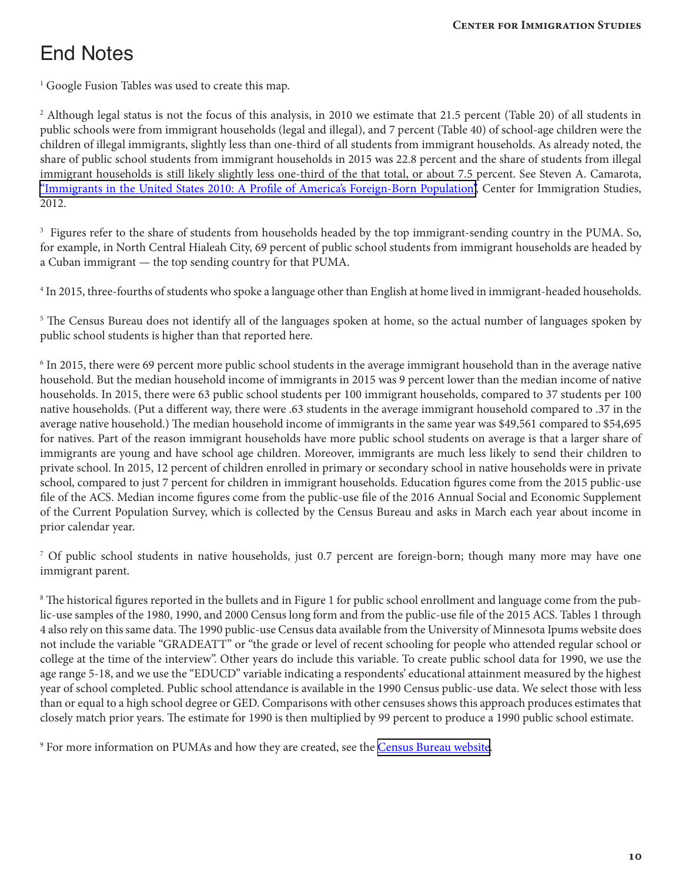# End Notes

<sup>1</sup> Google Fusion Tables was used to create this map.

2 Although legal status is not the focus of this analysis, in 2010 we estimate that 21.5 percent (Table 20) of all students in public schools were from immigrant households (legal and illegal), and 7 percent (Table 40) of school-age children were the children of illegal immigrants, slightly less than one-third of all students from immigrant households. As already noted, the share of public school students from immigrant households in 2015 was 22.8 percent and the share of students from illegal immigrant households is still likely slightly less one-third of the that total, or about 7.5 percent. See Steven A. Camarota, "Immigrants in the United States 2010: A Profile of America's [Foreign-Born](http://cis.org/sites/cis.org/files/articles/2012/immigrants-in-the-united-states-2012.pdf) Population", Center for Immigration Studies, 2012.

 $^3$  Figures refer to the share of students from households headed by the top immigrant-sending country in the PUMA. So, for example, in North Central Hialeah City, 69 percent of public school students from immigrant households are headed by a Cuban immigrant — the top sending country for that PUMA.

<sup>4</sup> In 2015, three-fourths of students who spoke a language other than English at home lived in immigrant-headed households.

<sup>5</sup> The Census Bureau does not identify all of the languages spoken at home, so the actual number of languages spoken by public school students is higher than that reported here.

6 In 2015, there were 69 percent more public school students in the average immigrant household than in the average native household. But the median household income of immigrants in 2015 was 9 percent lower than the median income of native households. In 2015, there were 63 public school students per 100 immigrant households, compared to 37 students per 100 native households. (Put a different way, there were .63 students in the average immigrant household compared to .37 in the average native household.) The median household income of immigrants in the same year was \$49,561 compared to \$54,695 for natives. Part of the reason immigrant households have more public school students on average is that a larger share of immigrants are young and have school age children. Moreover, immigrants are much less likely to send their children to private school. In 2015, 12 percent of children enrolled in primary or secondary school in native households were in private school, compared to just 7 percent for children in immigrant households. Education figures come from the 2015 public-use file of the ACS. Median income figures come from the public-use file of the 2016 Annual Social and Economic Supplement of the Current Population Survey, which is collected by the Census Bureau and asks in March each year about income in prior calendar year.

<sup>7</sup> Of public school students in native households, just 0.7 percent are foreign-born; though many more may have one immigrant parent.

<sup>8</sup> The historical figures reported in the bullets and in Figure 1 for public school enrollment and language come from the public-use samples of the 1980, 1990, and 2000 Census long form and from the public-use file of the 2015 ACS. Tables 1 through 4 also rely on thissame data. The 1990 public-use Census data available from the University of Minnesota Ipums website does not include the variable "GRADEATT" or "the grade or level of recent schooling for people who attended regular school or college at the time of the interview". Other years do include this variable. To create public school data for 1990, we use the age range 5-18, and we use the "EDUCD" variable indicating a respondents' educational attainment measured by the highest year of school completed. Public school attendance is available in the 1990 Census public-use data. We select those with less than or equal to a high school degree or GED. Comparisons with other censuses shows this approach produces estimates that closely match prior years. The estimate for 1990 is then multiplied by 99 percent to produce a 1990 public school estimate.

<sup>9</sup> For more information on PUMAs and how they are created, see the [Census Bureau website.](https://www.census.gov/geo/reference/puma.html)